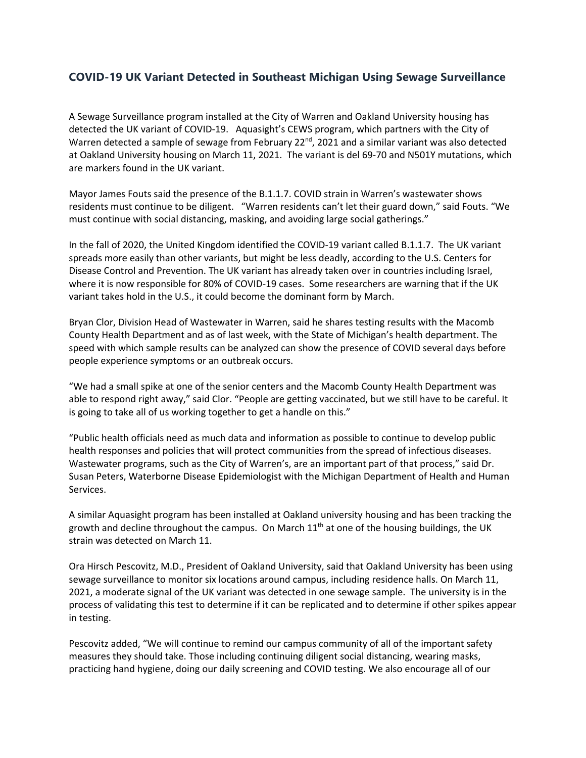## **COVID-19 UK Variant Detected in Southeast Michigan Using Sewage Surveillance**

A Sewage Surveillance program installed at the City of Warren and Oakland University housing has detected the UK variant of COVID-19. Aquasight's CEWS program, which partners with the City of Warren detected a sample of sewage from February 22<sup>nd</sup>, 2021 and a similar variant was also detected at Oakland University housing on March 11, 2021. The variant is del 69-70 and N501Y mutations, which are markers found in the UK variant.

Mayor James Fouts said the presence of the B.1.1.7. COVID strain in Warren's wastewater shows residents must continue to be diligent. "Warren residents can't let their guard down," said Fouts. "We must continue with social distancing, masking, and avoiding large social gatherings."

In the fall of 2020, the United Kingdom identified the COVID-19 variant called B.1.1.7. The UK variant spreads more easily than other variants, but might be less deadly, according to the U.S. Centers for Disease Control and Prevention. The UK variant has already taken over in countries including Israel, where it is now responsible for 80% of COVID-19 cases. Some researchers are warning that if the UK variant takes hold in the U.S., it could become the dominant form by March.

Bryan Clor, Division Head of Wastewater in Warren, said he shares testing results with the Macomb County Health Department and as of last week, with the State of Michigan's health department. The speed with which sample results can be analyzed can show the presence of COVID several days before people experience symptoms or an outbreak occurs.

"We had a small spike at one of the senior centers and the Macomb County Health Department was able to respond right away," said Clor. "People are getting vaccinated, but we still have to be careful. It is going to take all of us working together to get a handle on this."

"Public health officials need as much data and information as possible to continue to develop public health responses and policies that will protect communities from the spread of infectious diseases. Wastewater programs, such as the City of Warren's, are an important part of that process," said Dr. Susan Peters, Waterborne Disease Epidemiologist with the Michigan Department of Health and Human Services.

A similar Aquasight program has been installed at Oakland university housing and has been tracking the growth and decline throughout the campus. On March  $11<sup>th</sup>$  at one of the housing buildings, the UK strain was detected on March 11.

Ora Hirsch Pescovitz, M.D., President of Oakland University, said that Oakland University has been using sewage surveillance to monitor six locations around campus, including residence halls. On March 11, 2021, a moderate signal of the UK variant was detected in one sewage sample. The university is in the process of validating this test to determine if it can be replicated and to determine if other spikes appear in testing.

Pescovitz added, "We will continue to remind our campus community of all of the important safety measures they should take. Those including continuing diligent social distancing, wearing masks, practicing hand hygiene, doing our daily screening and COVID testing. We also encourage all of our